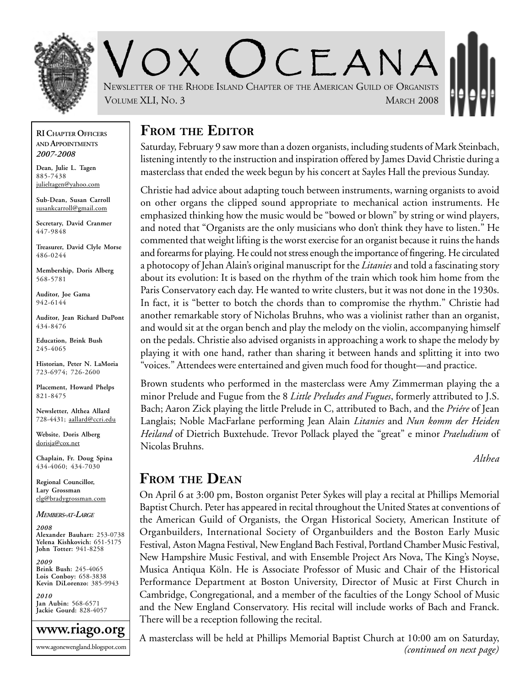

 $C$   $F$   $A$  N  $A$ NEWSLETTER OF THE RHODE ISLAND CHAPTER OF THE AMERICAN GUILD OF ORGANISTS VOLUME XLI, NO. 3 MARCH 2008

**RI CHAPTER OFFICERS AND APPOINTMENTS** *2007-2008*

**Dean, Julie L. Tagen** 885-7438 julieltagen@yahoo.com

**Sub-Dean, Susan Carroll** susankcarroll@gmail.com

**Secretary, David Cranmer** 447-9848

**Treasurer, David Clyle Morse** 486-0244

**Membership, Doris Alberg** 568-5781

**Auditor, Joe Gama** 942-6144

**Auditor, Jean Richard DuPont** 434-8476

**Education, Brink Bush** 245-4065

**Historian, Peter N. LaMoria** 723-6974; 726-2600

**Placement, Howard Phelps** 821-8475

**Newsletter, Althea Allard** 728-4431; aallard@ccri.edu

**Website**, **Doris Alberg** dorisja@cox.net

**Chaplain, Fr. Doug Spina** 434-4060; 434-7030

**Regional Councillor, Lary Grossman** elg@bradygrossman.com

*MEMBERS-AT-LARGE*

*2008* **Alexander Bauhart:** 253-0738 **Yelena Kishkovich:** 651-5175 **John Totter:** 941-8258

*2009* **Brink Bush:** 245-4065 **Lois Conboy:** 658-3838 **Kevin DiLorenzo:** 385-9943

*2010* **Jan Aubin:** 568-6571 **Jackie Gourd:** 828-4057



#### **FROM THE EDITOR**

Saturday, February 9 saw more than a dozen organists, including students of Mark Steinbach, listening intently to the instruction and inspiration offered by James David Christie during a masterclass that ended the week begun by his concert at Sayles Hall the previous Sunday.

Christie had advice about adapting touch between instruments, warning organists to avoid on other organs the clipped sound appropriate to mechanical action instruments. He emphasized thinking how the music would be "bowed or blown" by string or wind players, and noted that "Organists are the only musicians who don't think they have to listen." He commented that weight lifting is the worst exercise for an organist because it ruins the hands and forearms for playing. He could not stress enough the importance of fingering. He circulated a photocopy of Jehan Alain's original manuscript for the *Litanies* and told a fascinating story about its evolution: It is based on the rhythm of the train which took him home from the Paris Conservatory each day. He wanted to write clusters, but it was not done in the 1930s. In fact, it is "better to botch the chords than to compromise the rhythm." Christie had another remarkable story of Nicholas Bruhns, who was a violinist rather than an organist, and would sit at the organ bench and play the melody on the violin, accompanying himself on the pedals. Christie also advised organists in approaching a work to shape the melody by playing it with one hand, rather than sharing it between hands and splitting it into two "voices." Attendees were entertained and given much food for thought—and practice.

Brown students who performed in the masterclass were Amy Zimmerman playing the a minor Prelude and Fugue from the 8 *Little Preludes and Fugues*, formerly attributed to J.S. Bach; Aaron Zick playing the little Prelude in C, attributed to Bach, and the *Priére* of Jean Langlais; Noble MacFarlane performing Jean Alain *Litanies* and *Nun komm der Heiden Heiland* of Dietrich Buxtehude. Trevor Pollack played the "great" e minor *Praeludium* of Nicolas Bruhns.

*Althea*

#### **FROM THE DEAN**

On April 6 at 3:00 pm, Boston organist Peter Sykes will play a recital at Phillips Memorial Baptist Church. Peter has appeared in recital throughout the United States at conventions of the American Guild of Organists, the Organ Historical Society, American Institute of Organbuilders, International Society of Organbuilders and the Boston Early Music Festival, Aston Magna Festival, New England Bach Festival, Portland Chamber Music Festival, New Hampshire Music Festival, and with Ensemble Project Ars Nova, The King's Noyse, Musica Antiqua Köln. He is Associate Professor of Music and Chair of the Historical Performance Department at Boston University, Director of Music at First Church in Cambridge, Congregational, and a member of the faculties of the Longy School of Music and the New England Conservatory. His recital will include works of Bach and Franck. There will be a reception following the recital.

A masterclass will be held at Phillips Memorial Baptist Church at 10:00 am on Saturday, *(continued on next page)*